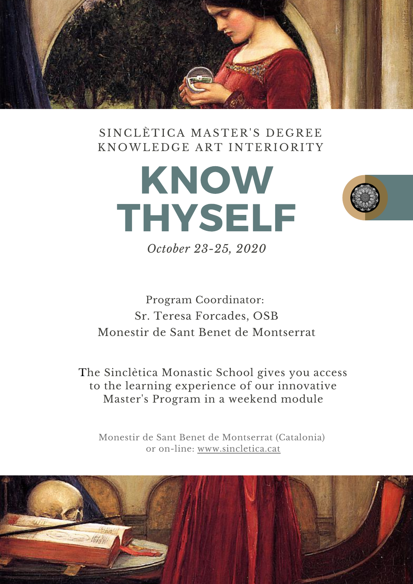

### SINCLÈTICA MASTER'S DEGREE KNOWLEDGE ART INTERIORITY





*October 23-25, 2020*

## Program Coordinator: Sr. Teresa Forcades, OSB Monestir de Sant Benet de Montserrat

The Sinclètica Monastic School gives you access to the learning experience of our innovative Master's Program in a weekend module

Monestir de Sant Benet de Montserrat (Catalonia) or on-lin[e:](https://www.sincletica.cat/) [www.sincletica.cat](https://www.sincletica.cat/)

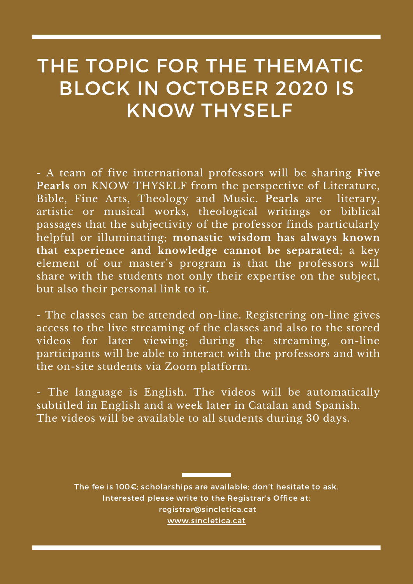## THE TOPIC FOR THE THEMATIC BLOCK IN OCTOBER 2020 IS KNOW THYSELF

- A team of five international professors will be sharing **Five Pearls** on KNOW THYSELF from the perspective of Literature, Bible, Fine Arts, Theology and Music. **Pearls** are literary, artistic or musical works, theological writings or biblical passages that the subjectivity of the professor finds particularly helpful or illuminating; **monastic wisdom has always known that experience and knowledge cannot be separated**; a key element of our master's program is that the professors will share with the students not only their expertise on the subject, but also their personal link to it.

- The classes can be attended on-line. Registering on-line gives access to the live streaming of the classes and also to the stored videos for later viewing; during the streaming, on-line participants will be able to interact with the professors and with the on-site students via Zoom platform.

- The language is English. The videos will be automatically subtitled in English and a week later in Catalan and Spanish. The videos will be available to all students during 30 days.

> The fee is 100€; scholarships are available; don't hesitate to ask. Interested please write to the Registrar's Office at: [registrar@sincletica.cat](http://sincletica.cat/) [www.sincletica.cat](https://www.sincletica.cat/)